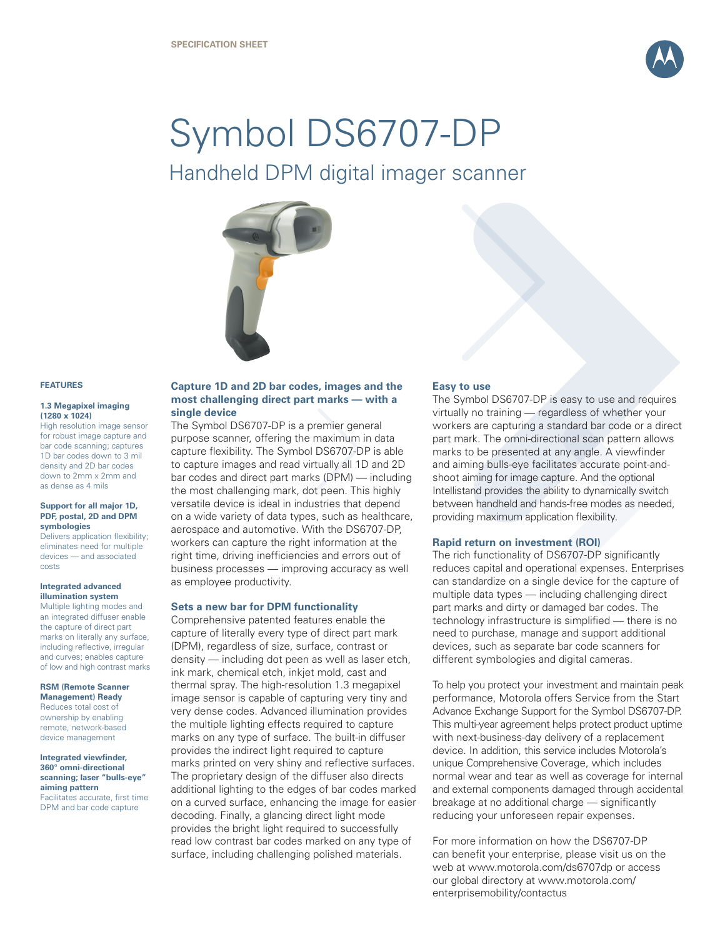**single device**



# Symbol DS6707-DP Handheld DPM digital imager scanner



## **FEATURES**

### **1.3 Megapixel imaging (1280 x 1024)**

High resolution image sensor for robust image capture and bar code scanning; captures 1D bar codes down to 3 mil density and 2D bar codes down to 2mm x 2mm and as dense as 4 mils

### **Support for all major 1D, PDF, postal, 2D and DPM symbologies**

Delivers application flexibility; eliminates need for multiple devices — and associated costs

## **Integrated advanced illumination system**

Multiple lighting modes and an integrated diffuser enable the capture of direct part marks on literally any surface, including reflective, irregular and curves; enables capture of low and high contrast marks

# **RSM (Remote Scanner Management) Ready**  Reduces total cost of

ownership by enabling remote, network-based device management

#### **Integrated viewfinder, 360° omni-directional scanning; laser "bulls-eye" aiming pattern** Facilitates accurate, first time DPM and bar code capture

to capture images and read virtually all 1D and 2D bar codes and direct part marks (DPM) — including the most challenging mark, dot peen. This highly versatile device is ideal in industries that depend

The Symbol DS6707-DP is a premier general purpose scanner, offering the maximum in data capture flexibility. The Symbol DS6707-DP is able

**Capture 1D and 2D bar codes, images and the most challenging direct part marks — with a** 

on a wide variety of data types, such as healthcare, aerospace and automotive. With the DS6707-DP, workers can capture the right information at the right time, driving inefficiencies and errors out of business processes — improving accuracy as well as employee productivity.

# **Sets a new bar for DPM functionality**

Comprehensive patented features enable the capture of literally every type of direct part mark (DPM), regardless of size, surface, contrast or density — including dot peen as well as laser etch, ink mark, chemical etch, inkjet mold, cast and thermal spray. The high-resolution 1.3 megapixel image sensor is capable of capturing very tiny and very dense codes. Advanced illumination provides the multiple lighting effects required to capture marks on any type of surface. The built-in diffuser provides the indirect light required to capture marks printed on very shiny and reflective surfaces. The proprietary design of the diffuser also directs additional lighting to the edges of bar codes marked on a curved surface, enhancing the image for easier decoding. Finally, a glancing direct light mode provides the bright light required to successfully read low contrast bar codes marked on any type of surface, including challenging polished materials.

# **Easy to use**

The Symbol DS6707-DP is easy to use and requires virtually no training — regardless of whether your workers are capturing a standard bar code or a direct part mark. The omni-directional scan pattern allows marks to be presented at any angle. A viewfinder and aiming bulls-eye facilitates accurate point-andshoot aiming for image capture. And the optional Intellistand provides the ability to dynamically switch between handheld and hands-free modes as needed, providing maximum application flexibility.

# **Rapid return on investment (ROI)**

The rich functionality of DS6707-DP significantly reduces capital and operational expenses. Enterprises can standardize on a single device for the capture of multiple data types — including challenging direct part marks and dirty or damaged bar codes. The technology infrastructure is simplified — there is no need to purchase, manage and support additional devices, such as separate bar code scanners for different symbologies and digital cameras.

To help you protect your investment and maintain peak performance, Motorola offers Service from the Start Advance Exchange Support for the Symbol DS6707-DP. This multi-year agreement helps protect product uptime with next-business-day delivery of a replacement device. In addition, this service includes Motorola's unique Comprehensive Coverage, which includes normal wear and tear as well as coverage for internal and external components damaged through accidental breakage at no additional charge — significantly reducing your unforeseen repair expenses.

For more information on how the DS6707-DP can benefit your enterprise, please visit us on the web at www.motorola.com/ds6707dp or access our global directory at www.motorola.com/ enterprisemobility/contactus